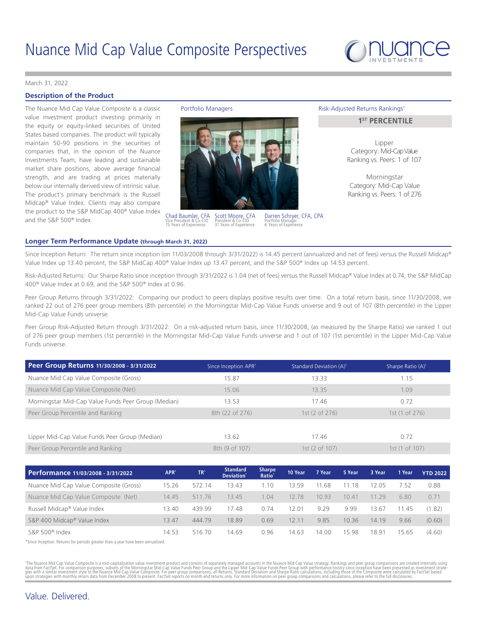

#### [March 31, 2022](DBF_DATE_EOM_FORMAL)

# **Description of the Product**

The Nuance Mid Cap Value Composite is a classic Portfolio Managers value investment product investing primarily in the equity or equity-linked securities of United States based companies. The product will typically maintain 50-90 positions in the securities of companies that, in the opinion of the Nuance Investments Team, have leading and sustainable market share positions, above average financial strength, and are trading at prices materially below our internally derived view of intrinsic value. The product's primary benchmark is the Russell Midcap® Value Index. Clients may also compare the product to the S&P MidCap 400® Value Index and the S&P 500® Index.



Scott Moore, CFA President & Co-CIO [31](DBF_YRS_EXPERIENCE_INV_SCOTT) Years of Experience Chad Baumler, CFA Vice President & Co-CIO [15](DBF_YRS_EXPERIENCE_INV_CHAD) Years of Experience

Darren Schryer, CFA, CPA Portfolio Manager [6](DBF_YRS_EXPERIENCE_NUANCE_DARREN) Years of Experience

#### Risk-Adjusted Returns Rankings<sup>1</sup>

# **1<sup>ST</sup> PERCENTILE**

Lipper Category: Mid-Cap Value Ranking vs. Peers: [1](DBF_PEER_SI_SHARPE_RANK_LIPPER_MID_MCVC) of [107](DBF_PEER_SI_SHARPE_NUM_PEERS_LIPPER_MID_CVC_MCVC)

Morningstar Category: Mid-Cap Value Ranking vs. Peers: [1](DBF_PEER_SI_SHARPE_RANK_MSTAR_MIDCV_MCVC) of [276](DBF_PEER_SI_SHARPE_NUM_PEERS_MSTAR_MIDCV_MCVC)

#### **Longer Term Performance Update (through [March 31, 2022\)](DBF_DATE_EOQ_FORMAL)**

Since Inception Return: The return since inception (on 11/03/2008 through 3/31/2022) is 14.45 percent (annualized and net of fees) versus the Russell Midcap® Value Index up 13.40 percent, the S&P MidCap 400® Value Index up 13.47 percent, and the S&P 500® Index up 14.53 percent.

Risk-Adjusted Returns: Our Sharpe Ratio since inception through 3/31/2022 is 1.04 (net of fees) versus the Russell Midcap® Value Index at 0.74, the S&P MidCap 400® Value Index at 0.69, and the S&P 500® Index at 0.96.

Peer Group Returns through 3/31/2022: Comparing our product to peers displays positive results over time. On a total return basis, since 11/30/2008, we ranked 22 out of 276 peer group members (8th percentile) in the Morningstar Mid-Cap Value Funds universe and 9 out of 107 (8th percentile) in the Lipper Mid-Cap Value Funds universe.

Peer Group Risk-Adjusted Return through 3/31/2022: On a risk-adjusted return basis, since 11/30/2008, (as measured by the Sharpe Ratio) we ranked 1 out of 276 peer group members (1st percentile) in the Morningstar Mid-Cap Value Funds universe and 1 out of 107 (1st percentile) in the Lipper Mid-Cap Value Funds universe.

| Peer Group Returns 11/30/2008 - 3/31/2022           | Since Inception APR <sup>1</sup> | Standard Deviation (A) <sup>1</sup> | Sharpe Ratio (A) <sup>1</sup> |
|-----------------------------------------------------|----------------------------------|-------------------------------------|-------------------------------|
| Nuance Mid Cap Value Composite (Gross)              | 15.87                            | 13.33                               | 1.15                          |
| Nuance Mid Cap Value Composite (Net)                | 15.06                            | 13.35                               | 1.09                          |
| Morningstar Mid-Cap Value Funds Peer Group (Median) | 13.53                            | 17.46                               | 0.72                          |
| Peer Group Percentile and Ranking                   | 8th (22 of 276)                  | 1st (2 of 276)                      | 1st(1 of 276)                 |
|                                                     |                                  |                                     |                               |
| Lipper Mid-Cap Value Funds Peer Group (Median)      | 13.62                            | 17.46                               | 0.72                          |
| Peer Group Percentile and Ranking                   | 8th (9 of 107)                   | 1st(2 of 107)                       | 1st (1 of 107)                |

| Performance 11/03/2008 - 3/31/2022     | APR <sup>*</sup> | TR'    | <b>Standard</b><br>Deviation <sup>*</sup> | <b>Sharpe</b><br>Ratio <sup>®</sup> | 10 Year | 7 Year | 5 Year | 3 Year | 1 Year | <b>YTD 2022</b> |
|----------------------------------------|------------------|--------|-------------------------------------------|-------------------------------------|---------|--------|--------|--------|--------|-----------------|
| Nuance Mid Cap Value Composite (Gross) | 15.26            | 572.14 | 3.43                                      | $\cdot$ 10                          | 13.59   | 11.68  | 11.18  | 12.05  | 1.52   | 0.88            |
| Nuance Mid Cap Value Composite (Net)   | 14.45            | 511.76 | 13.45                                     | 1.04                                | 12.78   | 10.93  | 10.41  | 11 29  | 6.80   | 0.71            |
| Russell Midcap® Value Index            | 13.40            | 439.99 | 17.48                                     | 0.74                                | 12.01   | 9.29   | 9.99   | 13.67  | 11.45  | (1.82)          |
| S&P 400 Midcap® Value Index            | 13.47            | 444.79 | 18.89                                     | 0.69                                | 12.11   | 9.85   | 10.36  | 14.19  | 9.66   | (0.60)          |
| $S\&P 500^{\circ}$ Index               | 14.53            | 516.70 | 14.69                                     | 0.96                                | 14.63   | 14.00  | 15.98  | 18.91  | 15.65  | (4.60)          |

\*Since Inception. Returns for periods greater than a year have been annualized.

'The Nuance Mid Cap Value Composite is a mid-capitalization value investment product and consists of separately managed accounts in the Nuance Mid Cap Value strategy. Rankings and peer group comparisons are created interna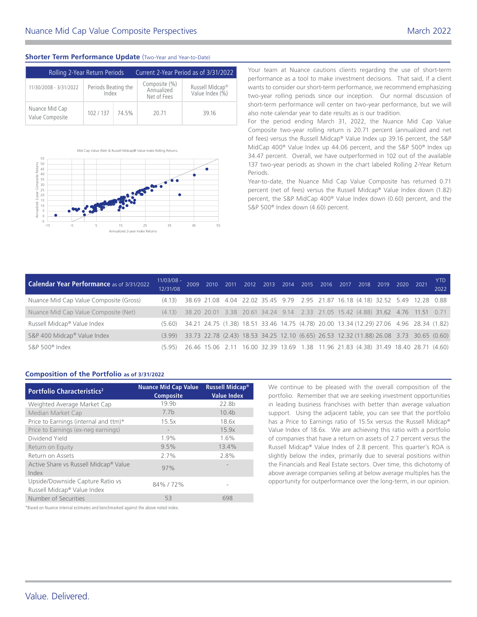# **Shorter Term Performance Update** (Two-Year and Year-to-Date)

| Rolling 2-Year Return Periods     |                              | Current 2-Year Period as of 3/31/2022 |                                            |                                                |  |  |  |  |
|-----------------------------------|------------------------------|---------------------------------------|--------------------------------------------|------------------------------------------------|--|--|--|--|
| 11/30/2008 - 3/31/2022            | Periods Beating the<br>Index |                                       | Composite (%)<br>Annualized<br>Net of Fees | Russell Midcap <sup>®</sup><br>Value Index (%) |  |  |  |  |
| Nuance Mid Cap<br>Value Composite | 102/137                      | 74.5%                                 | 20.71                                      | 39.16                                          |  |  |  |  |



Mid Cap Value (Net) & Russell Midcap® Value Index Rolling Return

55



Your team at Nuance cautions clients regarding the use of short-term performance as a tool to make investment decisions. That said, if a client wants to consider our short-term performance, we recommend emphasizing two-year rolling periods since our inception. Our normal discussion of short-term performance will center on two-year performance, but we will also note calendar year to date results as is our tradition.

For the period ending March 31, 2022, the Nuance Mid Cap Value Composite two-year rolling return is 20.71 percent (annualized and net of fees) versus the Russell Midcap® Value Index up 39.16 percent, the S&P MidCap 400® Value Index up 44.06 percent, and the S&P 500® Index up 34.47 percent. Overall, we have outperformed in 102 out of the available 137 two-year periods as shown in the chart labeled Rolling 2-Year Return Periods.

Year-to-date, the Nuance Mid Cap Value Composite has returned 0.71 percent (net of fees) versus the Russell Midcap® Value Index down (1.82) percent, the S&P MidCap 400® Value Index down (0.60) percent, and the S&P 500<sup>®</sup> Index down (4.60) percent.

| Calendar Year Performance as of 3/31/2022 | $11/03/08 -$<br>12/31/08 | 2009                                                                                    |  |  |  |  | 2010 2011 2012 2013 2014 2015 2016 2017 2018 2019 2020 |  | 2021 | YTD -<br>2022 |
|-------------------------------------------|--------------------------|-----------------------------------------------------------------------------------------|--|--|--|--|--------------------------------------------------------|--|------|---------------|
| Nuance Mid Cap Value Composite (Gross)    | (4.13)                   | 38.69 21.08 4.04 22.02 35.45 9.79 2.95 21.87 16.18 (4.18) 32.52 5.49 12.28 0.88         |  |  |  |  |                                                        |  |      |               |
| Nuance Mid Cap Value Composite (Net)      | (4.13)                   | 38.20 20.01 3.38 20.61 34.24 9.14 2.33 21.05 15.42 (4.88) 31.62 4.76 11.51 0.71         |  |  |  |  |                                                        |  |      |               |
| Russell Midcap® Value Index               | (5.60)                   | 34.21 24.75 (1.38) 18.51 33.46 14.75 (4.78) 20.00 13.34 (12.29) 27.06 4.96 28.34 (1.82) |  |  |  |  |                                                        |  |      |               |
| S&P 400 Midcap® Value Index               | (399)                    | 33.73 22.78 (2.43) 18.53 34.25 12.10 (6.65) 26.53 12.32 (11.88) 26.08 3.73 30.65 (0.60) |  |  |  |  |                                                        |  |      |               |
| S&P 500® Index                            | (595)                    | 26.46 15.06 2.11 16.00 32.39 13.69 1.38 11.96 21.83 (4.38) 31.49 18.40 28.71 (4.60)     |  |  |  |  |                                                        |  |      |               |

# **Composition of the Portfolio as of [3/31/2022](DBF_DATE_EOM_SHORT)**

| <b>Portfolio Characteristics<sup>2</sup></b>                    | <b>Nuance Mid Cap Value</b><br><b>Composite</b> | Russell Midcap <sup>®</sup><br><b>Value Index</b> |
|-----------------------------------------------------------------|-------------------------------------------------|---------------------------------------------------|
| Weighted Average Market Cap                                     | 19.9 <sub>b</sub>                               | 22.8b                                             |
| Median Market Cap                                               | 7.7 <sub>b</sub>                                | 10.4 <sub>b</sub>                                 |
| Price to Earnings (internal and ttm)*                           | 15.5x                                           | 18.6x                                             |
| Price to Earnings (ex-neg earnings)                             | $\overline{\phantom{a}}$                        | 15.9x                                             |
| Dividend Yield                                                  | 1.9%                                            | 1.6%                                              |
| Return on Equity                                                | 9.5%                                            | 13.4%                                             |
| Return on Assets                                                | 2.7%                                            | 2.8%                                              |
| Active Share vs Russell Midcap <sup>®</sup> Value<br>Index      | 97%                                             |                                                   |
| Upside/Downside Capture Ratio vs<br>Russell Midcap® Value Index | 84%/72%                                         |                                                   |
| Number of Securities                                            | 53                                              | 698                                               |

We continue to be pleased with the overall composition of the portfolio. Remember that we are seeking investment opportunities in leading business franchises with better than average valuation support. Using the adjacent table, you can see that the portfolio has a Price to Earnings ratio of 15.5x versus the Russell Midcap® Value Index of 18.6x. We are achieving this ratio with a portfolio of companies that have a return on assets of 2.7 percent versus the Russell Midcap® Value Index of 2.8 percent. This quarter's ROA is slightly below the index, primarily due to several positions within the Financials and Real Estate sectors. Over time, this dichotomy of above average companies selling at below average multiples has the opportunity for outperformance over the long-term, in our opinion.

\*Based on Nuance internal estimates and benchmarked against the above noted index.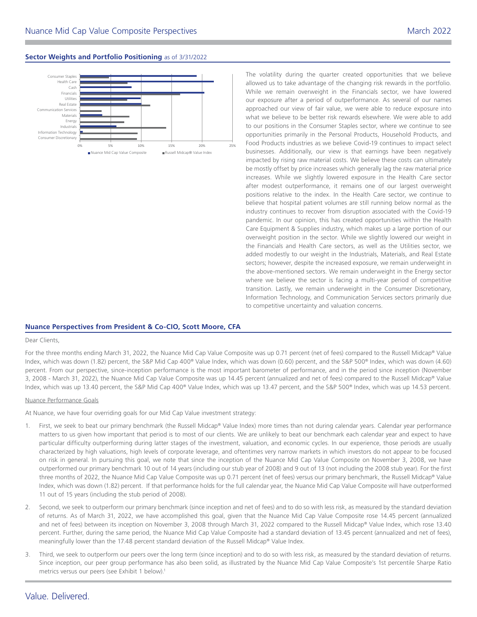### **Sector Weights and Portfolio Positioning** as of [3/31/2022](DBF_DATE_EOM_SHORT)



The volatility during the quarter created opportunities that we believe allowed us to take advantage of the changing risk rewards in the portfolio. While we remain overweight in the Financials sector, we have lowered our exposure after a period of outperformance. As several of our names approached our view of fair value, we were able to reduce exposure into what we believe to be better risk rewards elsewhere. We were able to add to our positions in the Consumer Staples sector, where we continue to see opportunities primarily in the Personal Products, Household Products, and Food Products industries as we believe Covid-19 continues to impact select businesses. Additionally, our view is that earnings have been negatively impacted by rising raw material costs. We believe these costs can ultimately be mostly offset by price increases which generally lag the raw material price increases. While we slightly lowered exposure in the Health Care sector after modest outperformance, it remains one of our largest overweight positions relative to the index. In the Health Care sector, we continue to believe that hospital patient volumes are still running below normal as the industry continues to recover from disruption associated with the Covid-19 pandemic. In our opinion, this has created opportunities within the Health Care Equipment & Supplies industry, which makes up a large portion of our overweight position in the sector. While we slightly lowered our weight in the Financials and Health Care sectors, as well as the Utilities sector, we added modestly to our weight in the Industrials, Materials, and Real Estate sectors; however, despite the increased exposure, we remain underweight in the above-mentioned sectors. We remain underweight in the Energy sector where we believe the sector is facing a multi-year period of competitive transition. Lastly, we remain underweight in the Consumer Discretionary, Information Technology, and Communication Services sectors primarily due to competitive uncertainty and valuation concerns.

## **Nuance Perspectives from President & Co-CIO, Scott Moore, CFA**

#### Dear Clients,

For the three months ending March 31, 2022, the Nuance Mid Cap Value Composite was up 0.71 percent (net of fees) compared to the Russell Midcap® Value Index, which was down (1.82) percent, the S&P Mid Cap 400® Value Index, which was down (0.60) percent, and the S&P 500® Index, which was down (4.60) percent. From our perspective, since-inception performance is the most important barometer of performance, and in the period since inception (November 3, 2008 - March 31, 2022), the Nuance Mid Cap Value Composite was up 14.45 percent (annualized and net of fees) compared to the Russell Midcap® Value Index, which was up 13.40 percent, the S&P Mid Cap 400® Value Index, which was up 13.47 percent, and the S&P 500® Index, which was up 14.53 percent.

#### Nuance Performance Goals

At Nuance, we have four overriding goals for our Mid Cap Value investment strategy:

- 1. First, we seek to beat our primary benchmark (the Russell Midcap® Value Index) more times than not during calendar years. Calendar year performance matters to us given how important that period is to most of our clients. We are unlikely to beat our benchmark each calendar year and expect to have particular difficulty outperforming during latter stages of the investment, valuation, and economic cycles. In our experience, those periods are usually characterized by high valuations, high levels of corporate leverage, and oftentimes very narrow markets in which investors do not appear to be focused on risk in general. In pursuing this goal, we note that since the inception of the Nuance Mid Cap Value Composite on November 3, 2008, we have outperformed our primary benchmark 10 out of 14 years (including our stub year of 2008) and 9 out of 13 (not including the 2008 stub year). For the first three months of 2022, the Nuance Mid Cap Value Composite was up 0.71 percent (net of fees) versus our primary benchmark, the Russell Midcap® Value Index, which was down (1.82) percent. If that performance holds for the full calendar year, the Nuance Mid Cap Value Composite will have outperformed 11 out of 15 years (including the stub period of 2008).
- 2. Second, we seek to outperform our primary benchmark (since inception and net of fees) and to do so with less risk, as measured by the standard deviation of returns. As of March 31, 2022, we have accomplished this goal, given that the Nuance Mid Cap Value Composite rose 14.45 percent (annualized and net of fees) between its inception on November 3, 2008 through March 31, 2022 compared to the Russell Midcap® Value Index, which rose 13.40 percent. Further, during the same period, the Nuance Mid Cap Value Composite had a standard deviation of 13.45 percent (annualized and net of fees), meaningfully lower than the 17.48 percent standard deviation of the Russell Midcap® Value Index.
- 3. Third, we seek to outperform our peers over the long term (since inception) and to do so with less risk, as measured by the standard deviation of returns. Since inception, our peer group performance has also been solid, as illustrated by the Nuance Mid Cap Value Composite's 1st percentile Sharpe Ratio metrics versus our peers (see Exhibit 1 below).<sup>1</sup>

# Value. Delivered.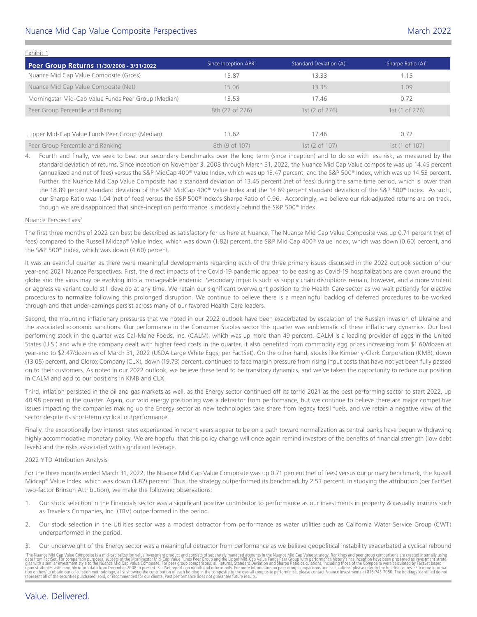# Nuance Mid Cap Value Composite Perspectives [March 2022](DBF_DATE_EOM_MONTH_YR)

| Peer Group Returns 11/30/2008 - 3/31/2022           | Since Inception APR <sup>1</sup> | Standard Deviation (A) <sup>1</sup> | Sharpe Ratio $(A)^1$ |
|-----------------------------------------------------|----------------------------------|-------------------------------------|----------------------|
| Nuance Mid Cap Value Composite (Gross)              | 15.87                            | 13.33                               | 1.15                 |
| Nuance Mid Cap Value Composite (Net)                | 15.06                            | 13.35                               | 1.09                 |
| Morningstar Mid-Cap Value Funds Peer Group (Median) | 13.53                            | 17.46                               | 0.72                 |
| Peer Group Percentile and Ranking                   | 8th (22 of 276)                  | 1st $(2 \text{ of } 276)$           | 1st (1 of 276)       |
|                                                     |                                  |                                     |                      |
| Lipper Mid-Cap Value Funds Peer Group (Median)      | 13.62                            | 17.46                               | 0.72                 |
| Peer Group Percentile and Ranking                   | 8th (9 of 107)                   | 1st (2 of 107)                      | 1st (1 of 107)       |

4. Fourth and finally, we seek to beat our secondary benchmarks over the long term (since inception) and to do so with less risk, as measured by the standard deviation of returns. Since inception on November 3, 2008 through March 31, 2022, the Nuance Mid Cap Value composite was up 14.45 percent (annualized and net of fees) versus the S&P MidCap 400® Value Index, which was up 13.47 percent, and the S&P 500® Index, which was up 14.53 percent. Further, the Nuance Mid Cap Value Composite had a standard deviation of 13.45 percent (net of fees) during the same time period, which is lower than the 18.89 percent standard deviation of the S&P MidCap 400® Value Index and the 14.69 percent standard deviation of the S&P 500® Index. As such, our Sharpe Ratio was 1.04 (net of fees) versus the S&P 500® Index's Sharpe Ratio of 0.96. Accordingly, we believe our risk-adjusted returns are on track, though we are disappointed that since-inception performance is modestly behind the S&P 500® Index.

### Nuance Perspectives<sup>2</sup>

The first three months of 2022 can best be described as satisfactory for us here at Nuance. The Nuance Mid Cap Value Composite was up 0.71 percent (net of fees) compared to the Russell Midcap® Value Index, which was down (1.82) percent, the S&P Mid Cap 400® Value Index, which was down (0.60) percent, and the S&P 500® Index, which was down (4.60) percent.

It was an eventful quarter as there were meaningful developments regarding each of the three primary issues discussed in the 2022 outlook section of our year-end 2021 Nuance Perspectives. First, the direct impacts of the Covid-19 pandemic appear to be easing as Covid-19 hospitalizations are down around the globe and the virus may be evolving into a manageable endemic. Secondary impacts such as supply chain disruptions remain, however, and a more virulent or aggressive variant could still develop at any time. We retain our significant overweight position to the Health Care sector as we wait patiently for elective procedures to normalize following this prolonged disruption. We continue to believe there is a meaningful backlog of deferred procedures to be worked through and that under-earnings persist across many of our favored Health Care leaders.

Second, the mounting inflationary pressures that we noted in our 2022 outlook have been exacerbated by escalation of the Russian invasion of Ukraine and the associated economic sanctions. Our performance in the Consumer Staples sector this quarter was emblematic of these inflationary dynamics. Our best performing stock in the quarter was Cal-Maine Foods, Inc. (CALM), which was up more than 49 percent. CALM is a leading provider of eggs in the United States (U.S.) and while the company dealt with higher feed costs in the quarter, it also benefited from commodity egg prices increasing from \$1.60/dozen at year-end to \$2.47/dozen as of March 31, 2022 (USDA Large White Eggs, per FactSet). On the other hand, stocks like Kimberly-Clark Corporation (KMB), down (13.05) percent, and Clorox Company (CLX), down (19.73) percent, continued to face margin pressure from rising input costs that have not yet been fully passed on to their customers. As noted in our 2022 outlook, we believe these tend to be transitory dynamics, and we've taken the opportunity to reduce our position in CALM and add to our positions in KMB and CLX.

Third, inflation persisted in the oil and gas markets as well, as the Energy sector continued off its torrid 2021 as the best performing sector to start 2022, up 40.98 percent in the quarter. Again, our void energy positioning was a detractor from performance, but we continue to believe there are major competitive issues impacting the companies making up the Energy sector as new technologies take share from legacy fossil fuels, and we retain a negative view of the sector despite its short-term cyclical outperformance.

Finally, the exceptionally low interest rates experienced in recent years appear to be on a path toward normalization as central banks have begun withdrawing highly accommodative monetary policy. We are hopeful that this policy change will once again remind investors of the benefits of financial strength (low debt levels) and the risks associated with significant leverage.

### 2022 YTD Attribution Analysis

For the three months ended March 31, 2022, the Nuance Mid Cap Value Composite was up 0.71 percent (net of fees) versus our primary benchmark, the Russell Midcap® Value Index, which was down (1.82) percent. Thus, the strategy outperformed its benchmark by 2.53 percent. In studying the attribution (per FactSet two-factor Brinson Attribution), we make the following observations:

- 1. Our stock selection in the Financials sector was a significant positive contributor to performance as our investments in property & casualty insurers such as Travelers Companies, Inc. (TRV) outperformed in the period.
- 2. Our stock selection in the Utilities sector was a modest detractor from performance as water utilities such as California Water Service Group (CWT) underperformed in the period.
- 3. Our underweight of the Energy sector was a meaningful detractor from performance as we believe geopolitical instability exacerbated a cyclical rebound

'The Nuance Mid Cap Value Composite is a mid-capitalization value investment product and consists of separately managed accounts in the Nuance Mid Cap Value strategy. Rankings and peer group comparisons are created interna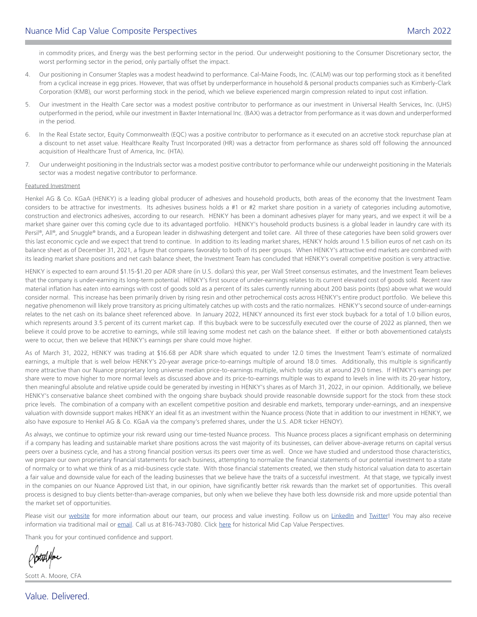in commodity prices, and Energy was the best performing sector in the period. Our underweight positioning to the Consumer Discretionary sector, the worst performing sector in the period, only partially offset the impact.

- 4. Our positioning in Consumer Staples was a modest headwind to performance. Cal-Maine Foods, Inc. (CALM) was our top performing stock as it benefited from a cyclical increase in egg prices. However, that was offset by underperformance in household & personal products companies such as Kimberly-Clark Corporation (KMB), our worst performing stock in the period, which we believe experienced margin compression related to input cost inflation.
- 5. Our investment in the Health Care sector was a modest positive contributor to performance as our investment in Universal Health Services, Inc. (UHS) outperformed in the period, while our investment in Baxter International Inc. (BAX) was a detractor from performance as it was down and underperformed in the period.
- 6. In the Real Estate sector, Equity Commonwealth (EQC) was a positive contributor to performance as it executed on an accretive stock repurchase plan at a discount to net asset value. Healthcare Realty Trust Incorporated (HR) was a detractor from performance as shares sold off following the announced acquisition of Healthcare Trust of America, Inc. (HTA).
- 7. Our underweight positioning in the Industrials sector was a modest positive contributor to performance while our underweight positioning in the Materials sector was a modest negative contributor to performance.

### Featured Investment

Henkel AG & Co. KGaA (HENKY) is a leading global producer of adhesives and household products, both areas of the economy that the Investment Team considers to be attractive for investments. Its adhesives business holds a #1 or #2 market share position in a variety of categories including automotive, construction and electronics adhesives, according to our research. HENKY has been a dominant adhesives player for many years, and we expect it will be a market share gainer over this coming cycle due to its advantaged portfolio. HENKY's household products business is a global leader in laundry care with its Persil®, All®, and Snuggle® brands, and a European leader in dishwashing detergent and toilet care. All three of these categories have been solid growers over this last economic cycle and we expect that trend to continue. In addition to its leading market shares, HENKY holds around 1.5 billion euros of net cash on its balance sheet as of December 31, 2021, a figure that compares favorably to both of its peer groups. When HENKY's attractive end markets are combined with its leading market share positions and net cash balance sheet, the Investment Team has concluded that HENKY's overall competitive position is very attractive.

HENKY is expected to earn around \$1.15-\$1.20 per ADR share (in U.S. dollars) this year, per Wall Street consensus estimates, and the Investment Team believes that the company is under-earning its long-term potential. HENKY's first source of under-earnings relates to its current elevated cost of goods sold. Recent raw material inflation has eaten into earnings with cost of goods sold as a percent of its sales currently running about 200 basis points (bps) above what we would consider normal. This increase has been primarily driven by rising resin and other petrochemical costs across HENKY's entire product portfolio. We believe this negative phenomenon will likely prove transitory as pricing ultimately catches up with costs and the ratio normalizes. HENKY's second source of under-earnings relates to the net cash on its balance sheet referenced above. In January 2022, HENKY announced its first ever stock buyback for a total of 1.0 billion euros, which represents around 3.5 percent of its current market cap. If this buyback were to be successfully executed over the course of 2022 as planned, then we believe it could prove to be accretive to earnings, while still leaving some modest net cash on the balance sheet. If either or both abovementioned catalysts were to occur, then we believe that HENKY's earnings per share could move higher.

As of March 31, 2022, HENKY was trading at \$16.68 per ADR share which equated to under 12.0 times the Investment Team's estimate of normalized earnings, a multiple that is well below HENKY's 20-year average price-to-earnings multiple of around 18.0 times. Additionally, this multiple is significantly more attractive than our Nuance proprietary long universe median price-to-earnings multiple, which today sits at around 29.0 times. If HENKY's earnings per share were to move higher to more normal levels as discussed above and its price-to-earnings multiple was to expand to levels in line with its 20-year history, then meaningful absolute and relative upside could be generated by investing in HENKY's shares as of March 31, 2022, in our opinion. Additionally, we believe HENKY's conservative balance sheet combined with the ongoing share buyback should provide reasonable downside support for the stock from these stock price levels. The combination of a company with an excellent competitive position and desirable end markets, temporary under-earnings, and an inexpensive valuation with downside support makes HENKY an ideal fit as an investment within the Nuance process (Note that in addition to our investment in HENKY, we also have exposure to Henkel AG & Co. KGaA via the company's preferred shares, under the U.S. ADR ticker HENOY).

As always, we continue to optimize your risk reward using our time-tested Nuance process. This Nuance process places a significant emphasis on determining if a company has leading and sustainable market share positions across the vast majority of its businesses, can deliver above-average returns on capital versus peers over a business cycle, and has a strong financial position versus its peers over time as well. Once we have studied and understood those characteristics, we prepare our own proprietary financial statements for each business, attempting to normalize the financial statements of our potential investment to a state of normalcy or to what we think of as a mid-business cycle state. With those financial statements created, we then study historical valuation data to ascertain a fair value and downside value for each of the leading businesses that we believe have the traits of a successful investment. At that stage, we typically invest in the companies on our Nuance Approved List that, in our opinion, have significantly better risk rewards than the market set of opportunities. This overall process is designed to buy clients better-than-average companies, but only when we believe they have both less downside risk and more upside potential than the market set of opportunities.

Please visit our [website](https://www.nuanceinvestments.com/) for more information about our team, our process and value investing. Follow us on [LinkedIn](https://www.linkedin.com/company/nuance-investments-llc) and [Twitter](https://twitter.com/NuanceInvest)! You may also receive information via traditional mail or [email](mailto:client.services%40nuanceinvestments.com?subject=). Call us at 816-743-7080. Click [here](https://www.nuanceinvestments.com/mid-cap-value/commentary.php) for historical Mid Cap Value Perspectives.

Thank you for your continued confidence and support.

Scott A. Moore, CFA